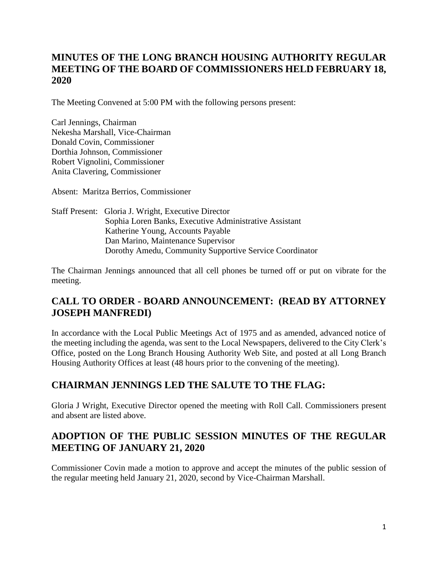# **MINUTES OF THE LONG BRANCH HOUSING AUTHORITY REGULAR MEETING OF THE BOARD OF COMMISSIONERS HELD FEBRUARY 18, 2020**

The Meeting Convened at 5:00 PM with the following persons present:

Carl Jennings, Chairman Nekesha Marshall, Vice-Chairman Donald Covin, Commissioner Dorthia Johnson, Commissioner Robert Vignolini, Commissioner Anita Clavering, Commissioner

Absent: Maritza Berrios, Commissioner

Staff Present: Gloria J. Wright, Executive Director Sophia Loren Banks, Executive Administrative Assistant Katherine Young, Accounts Payable Dan Marino, Maintenance Supervisor Dorothy Amedu, Community Supportive Service Coordinator

The Chairman Jennings announced that all cell phones be turned off or put on vibrate for the meeting.

# **CALL TO ORDER - BOARD ANNOUNCEMENT: (READ BY ATTORNEY JOSEPH MANFREDI)**

In accordance with the Local Public Meetings Act of 1975 and as amended, advanced notice of the meeting including the agenda, was sent to the Local Newspapers, delivered to the City Clerk's Office, posted on the Long Branch Housing Authority Web Site, and posted at all Long Branch Housing Authority Offices at least (48 hours prior to the convening of the meeting).

# **CHAIRMAN JENNINGS LED THE SALUTE TO THE FLAG:**

Gloria J Wright, Executive Director opened the meeting with Roll Call. Commissioners present and absent are listed above.

## **ADOPTION OF THE PUBLIC SESSION MINUTES OF THE REGULAR MEETING OF JANUARY 21, 2020**

Commissioner Covin made a motion to approve and accept the minutes of the public session of the regular meeting held January 21, 2020, second by Vice-Chairman Marshall.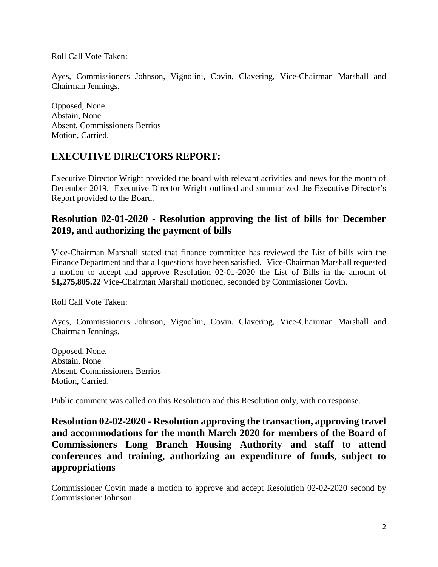Roll Call Vote Taken:

Ayes, Commissioners Johnson, Vignolini, Covin, Clavering, Vice-Chairman Marshall and Chairman Jennings.

Opposed, None. Abstain, None Absent, Commissioners Berrios Motion, Carried.

#### **EXECUTIVE DIRECTORS REPORT:**

Executive Director Wright provided the board with relevant activities and news for the month of December 2019. Executive Director Wright outlined and summarized the Executive Director's Report provided to the Board.

#### **Resolution 02-01-2020 - Resolution approving the list of bills for December 2019, and authorizing the payment of bills**

Vice-Chairman Marshall stated that finance committee has reviewed the List of bills with the Finance Department and that all questions have been satisfied. Vice-Chairman Marshall requested a motion to accept and approve Resolution 02-01-2020 the List of Bills in the amount of \$**1,275,805.22** Vice-Chairman Marshall motioned, seconded by Commissioner Covin.

Roll Call Vote Taken:

Ayes, Commissioners Johnson, Vignolini, Covin, Clavering, Vice-Chairman Marshall and Chairman Jennings.

Opposed, None. Abstain, None Absent, Commissioners Berrios Motion, Carried.

Public comment was called on this Resolution and this Resolution only, with no response.

**Resolution 02-02-2020 - Resolution approving the transaction, approving travel and accommodations for the month March 2020 for members of the Board of Commissioners Long Branch Housing Authority and staff to attend conferences and training, authorizing an expenditure of funds, subject to appropriations**

Commissioner Covin made a motion to approve and accept Resolution 02-02-2020 second by Commissioner Johnson.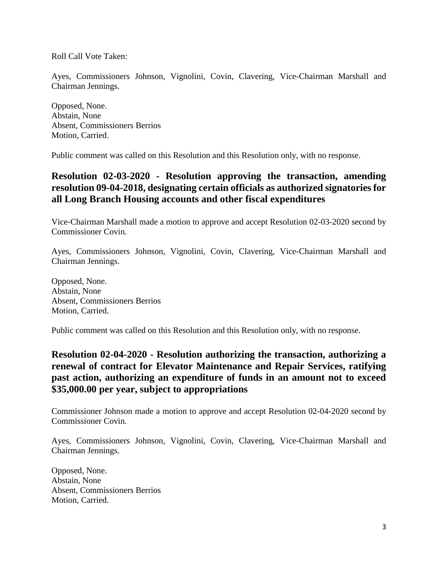Roll Call Vote Taken:

Ayes, Commissioners Johnson, Vignolini, Covin, Clavering, Vice-Chairman Marshall and Chairman Jennings.

Opposed, None. Abstain, None Absent, Commissioners Berrios Motion, Carried.

Public comment was called on this Resolution and this Resolution only, with no response.

#### **Resolution 02-03-2020 - Resolution approving the transaction, amending resolution 09-04-2018, designating certain officials as authorized signatories for all Long Branch Housing accounts and other fiscal expenditures**

Vice-Chairman Marshall made a motion to approve and accept Resolution 02-03-2020 second by Commissioner Covin.

Ayes, Commissioners Johnson, Vignolini, Covin, Clavering, Vice-Chairman Marshall and Chairman Jennings.

Opposed, None. Abstain, None Absent, Commissioners Berrios Motion, Carried.

Public comment was called on this Resolution and this Resolution only, with no response.

#### **Resolution 02-04-2020 - Resolution authorizing the transaction, authorizing a renewal of contract for Elevator Maintenance and Repair Services, ratifying past action, authorizing an expenditure of funds in an amount not to exceed \$35,000.00 per year, subject to appropriations**

Commissioner Johnson made a motion to approve and accept Resolution 02-04-2020 second by Commissioner Covin.

Ayes, Commissioners Johnson, Vignolini, Covin, Clavering, Vice-Chairman Marshall and Chairman Jennings.

Opposed, None. Abstain, None Absent, Commissioners Berrios Motion, Carried.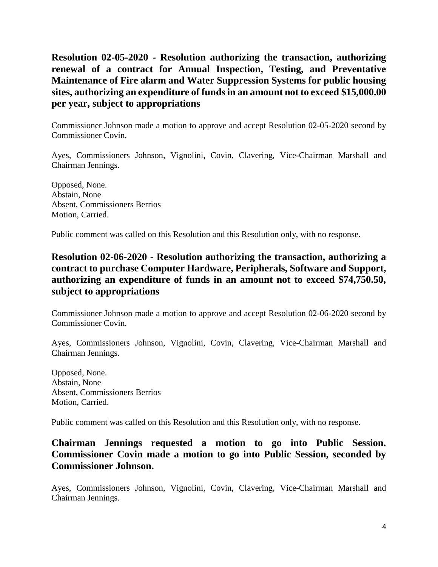**Resolution 02-05-2020 - Resolution authorizing the transaction, authorizing renewal of a contract for Annual Inspection, Testing, and Preventative Maintenance of Fire alarm and Water Suppression Systems for public housing sites, authorizing an expenditure of funds in an amount not to exceed \$15,000.00 per year, subject to appropriations**

Commissioner Johnson made a motion to approve and accept Resolution 02-05-2020 second by Commissioner Covin.

Ayes, Commissioners Johnson, Vignolini, Covin, Clavering, Vice-Chairman Marshall and Chairman Jennings.

Opposed, None. Abstain, None Absent, Commissioners Berrios Motion, Carried.

Public comment was called on this Resolution and this Resolution only, with no response.

## **Resolution 02-06-2020 - Resolution authorizing the transaction, authorizing a contract to purchase Computer Hardware, Peripherals, Software and Support, authorizing an expenditure of funds in an amount not to exceed \$74,750.50, subject to appropriations**

Commissioner Johnson made a motion to approve and accept Resolution 02-06-2020 second by Commissioner Covin.

Ayes, Commissioners Johnson, Vignolini, Covin, Clavering, Vice-Chairman Marshall and Chairman Jennings.

Opposed, None. Abstain, None Absent, Commissioners Berrios Motion, Carried.

Public comment was called on this Resolution and this Resolution only, with no response.

### **Chairman Jennings requested a motion to go into Public Session. Commissioner Covin made a motion to go into Public Session, seconded by Commissioner Johnson.**

Ayes, Commissioners Johnson, Vignolini, Covin, Clavering, Vice-Chairman Marshall and Chairman Jennings.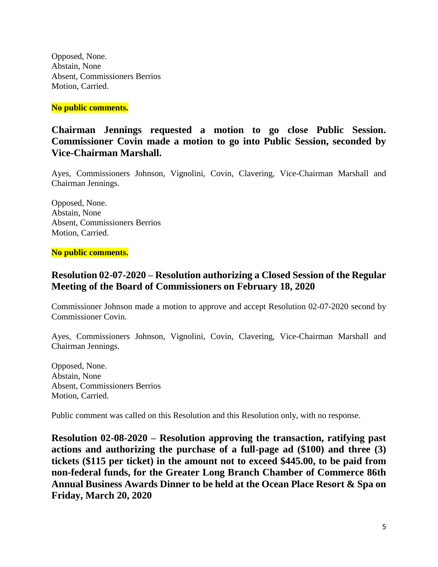Opposed, None. Abstain, None Absent, Commissioners Berrios Motion, Carried.

**No public comments.**

**Chairman Jennings requested a motion to go close Public Session. Commissioner Covin made a motion to go into Public Session, seconded by Vice-Chairman Marshall.**

Ayes, Commissioners Johnson, Vignolini, Covin, Clavering, Vice-Chairman Marshall and Chairman Jennings.

Opposed, None. Abstain, None Absent, Commissioners Berrios Motion, Carried.

**No public comments.**

## **Resolution 02-07-2020 – Resolution authorizing a Closed Session of the Regular Meeting of the Board of Commissioners on February 18, 2020**

Commissioner Johnson made a motion to approve and accept Resolution 02-07-2020 second by Commissioner Covin.

Ayes, Commissioners Johnson, Vignolini, Covin, Clavering, Vice-Chairman Marshall and Chairman Jennings.

Opposed, None. Abstain, None Absent, Commissioners Berrios Motion, Carried.

Public comment was called on this Resolution and this Resolution only, with no response.

**Resolution 02-08-2020 – Resolution approving the transaction, ratifying past actions and authorizing the purchase of a full-page ad (\$100) and three (3) tickets (\$115 per ticket) in the amount not to exceed \$445.00, to be paid from non-federal funds, for the Greater Long Branch Chamber of Commerce 86th Annual Business Awards Dinner to be held at the Ocean Place Resort & Spa on Friday, March 20, 2020**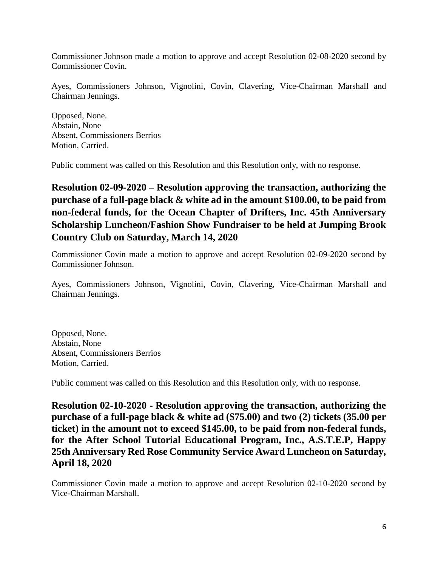Commissioner Johnson made a motion to approve and accept Resolution 02-08-2020 second by Commissioner Covin.

Ayes, Commissioners Johnson, Vignolini, Covin, Clavering, Vice-Chairman Marshall and Chairman Jennings.

Opposed, None. Abstain, None Absent, Commissioners Berrios Motion, Carried.

Public comment was called on this Resolution and this Resolution only, with no response.

**Resolution 02-09-2020 – Resolution approving the transaction, authorizing the purchase of a full-page black & white ad in the amount \$100.00, to be paid from non-federal funds, for the Ocean Chapter of Drifters, Inc. 45th Anniversary Scholarship Luncheon/Fashion Show Fundraiser to be held at Jumping Brook Country Club on Saturday, March 14, 2020**

Commissioner Covin made a motion to approve and accept Resolution 02-09-2020 second by Commissioner Johnson.

Ayes, Commissioners Johnson, Vignolini, Covin, Clavering, Vice-Chairman Marshall and Chairman Jennings.

Opposed, None. Abstain, None Absent, Commissioners Berrios Motion, Carried.

Public comment was called on this Resolution and this Resolution only, with no response.

**Resolution 02-10-2020 - Resolution approving the transaction, authorizing the purchase of a full-page black & white ad (\$75.00) and two (2) tickets (35.00 per ticket) in the amount not to exceed \$145.00, to be paid from non-federal funds, for the After School Tutorial Educational Program, Inc., A.S.T.E.P, Happy 25th Anniversary Red Rose Community Service Award Luncheon on Saturday, April 18, 2020**

Commissioner Covin made a motion to approve and accept Resolution 02-10-2020 second by Vice-Chairman Marshall.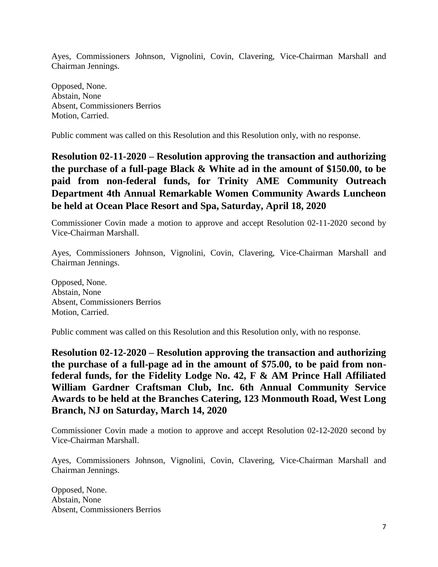Ayes, Commissioners Johnson, Vignolini, Covin, Clavering, Vice-Chairman Marshall and Chairman Jennings.

Opposed, None. Abstain, None Absent, Commissioners Berrios Motion, Carried.

Public comment was called on this Resolution and this Resolution only, with no response.

**Resolution 02-11-2020 – Resolution approving the transaction and authorizing the purchase of a full-page Black & White ad in the amount of \$150.00, to be paid from non-federal funds, for Trinity AME Community Outreach Department 4th Annual Remarkable Women Community Awards Luncheon be held at Ocean Place Resort and Spa, Saturday, April 18, 2020**

Commissioner Covin made a motion to approve and accept Resolution 02-11-2020 second by Vice-Chairman Marshall.

Ayes, Commissioners Johnson, Vignolini, Covin, Clavering, Vice-Chairman Marshall and Chairman Jennings.

Opposed, None. Abstain, None Absent, Commissioners Berrios Motion, Carried.

Public comment was called on this Resolution and this Resolution only, with no response.

**Resolution 02-12-2020 – Resolution approving the transaction and authorizing the purchase of a full-page ad in the amount of \$75.00, to be paid from nonfederal funds, for the Fidelity Lodge No. 42, F & AM Prince Hall Affiliated William Gardner Craftsman Club, Inc. 6th Annual Community Service Awards to be held at the Branches Catering, 123 Monmouth Road, West Long Branch, NJ on Saturday, March 14, 2020**

Commissioner Covin made a motion to approve and accept Resolution 02-12-2020 second by Vice-Chairman Marshall.

Ayes, Commissioners Johnson, Vignolini, Covin, Clavering, Vice-Chairman Marshall and Chairman Jennings.

Opposed, None. Abstain, None Absent, Commissioners Berrios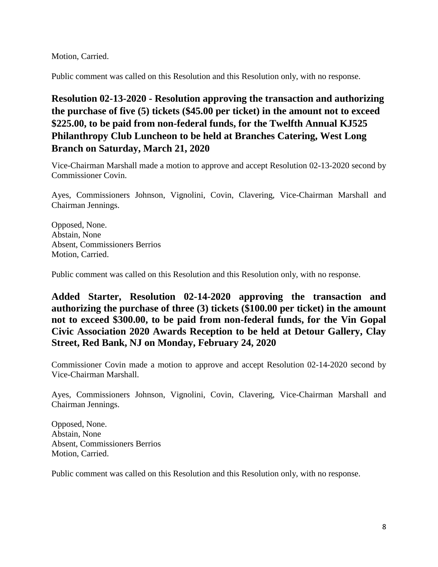Motion, Carried.

Public comment was called on this Resolution and this Resolution only, with no response.

# **Resolution 02-13-2020 - Resolution approving the transaction and authorizing the purchase of five (5) tickets (\$45.00 per ticket) in the amount not to exceed \$225.00, to be paid from non-federal funds, for the Twelfth Annual KJ525 Philanthropy Club Luncheon to be held at Branches Catering, West Long Branch on Saturday, March 21, 2020**

Vice-Chairman Marshall made a motion to approve and accept Resolution 02-13-2020 second by Commissioner Covin.

Ayes, Commissioners Johnson, Vignolini, Covin, Clavering, Vice-Chairman Marshall and Chairman Jennings.

Opposed, None. Abstain, None Absent, Commissioners Berrios Motion, Carried.

Public comment was called on this Resolution and this Resolution only, with no response.

**Added Starter, Resolution 02-14-2020 approving the transaction and authorizing the purchase of three (3) tickets (\$100.00 per ticket) in the amount not to exceed \$300.00, to be paid from non-federal funds, for the Vin Gopal Civic Association 2020 Awards Reception to be held at Detour Gallery, Clay Street, Red Bank, NJ on Monday, February 24, 2020**

Commissioner Covin made a motion to approve and accept Resolution 02-14-2020 second by Vice-Chairman Marshall.

Ayes, Commissioners Johnson, Vignolini, Covin, Clavering, Vice-Chairman Marshall and Chairman Jennings.

Opposed, None. Abstain, None Absent, Commissioners Berrios Motion, Carried.

Public comment was called on this Resolution and this Resolution only, with no response.